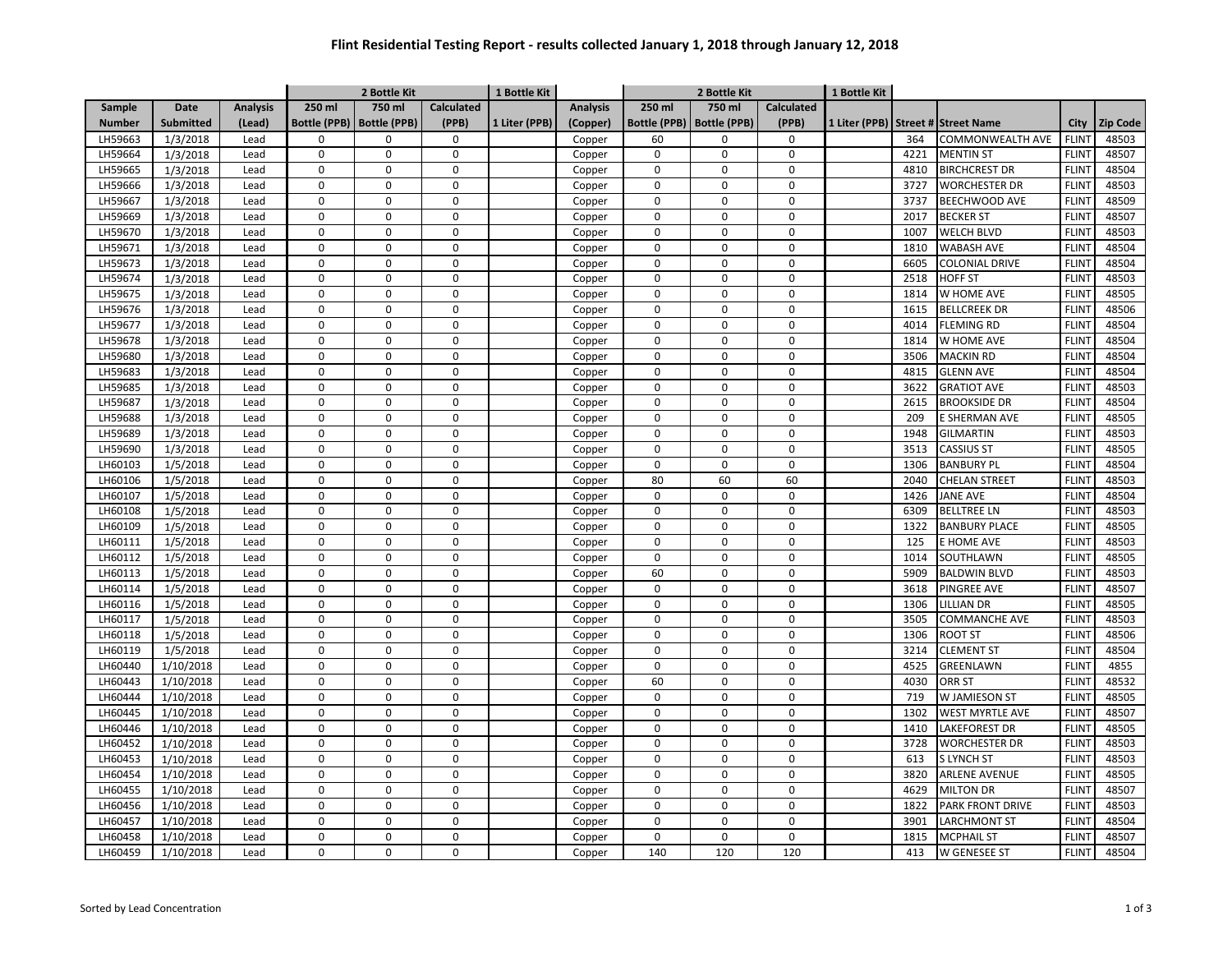## **Flint Residential Testing Report - results collected January 1, 2018 through January 12, 2018**

|               |                  |                 | 2 Bottle Kit        |                     |                   | 1 Bottle Kit  |                 | 2 Bottle Kit     |                             |                   | 1 Bottle Kit |      |                                    |              |                 |
|---------------|------------------|-----------------|---------------------|---------------------|-------------------|---------------|-----------------|------------------|-----------------------------|-------------------|--------------|------|------------------------------------|--------------|-----------------|
| Sample        | <b>Date</b>      | <b>Analysis</b> | 250 ml              | 750 ml              | <b>Calculated</b> |               | <b>Analysis</b> | 250 ml           | 750 ml                      | <b>Calculated</b> |              |      |                                    |              |                 |
| <b>Number</b> | <b>Submitted</b> | (Lead)          | <b>Bottle (PPB)</b> | <b>Bottle (PPB)</b> | (PPB)             | 1 Liter (PPB) | (Copper)        |                  | Bottle (PPB)   Bottle (PPB) | (PPB)             |              |      | 1 Liter (PPB) Street # Street Name | City         | <b>Zip Code</b> |
| LH59663       | 1/3/2018         | Lead            | $\Omega$            | $\mathbf 0$         | $\mathsf 0$       |               | Copper          | 60               | $\Omega$                    | $\mathbf 0$       |              | 364  | <b>COMMONWEALTH AVE</b>            | <b>FLINT</b> | 48503           |
| LH59664       | 1/3/2018         | Lead            | $\mathbf 0$         | $\mathbf 0$         | $\mathbf 0$       |               | Copper          | $\mathbf 0$      | 0                           | $\mathbf 0$       |              | 4221 | <b>MENTIN ST</b>                   | <b>FLINT</b> | 48507           |
| LH59665       | 1/3/2018         | Lead            | $\mathbf 0$         | $\mathbf 0$         | $\mathbf 0$       |               | Copper          | $\mathbf 0$      | $\Omega$                    | $\mathbf 0$       |              | 4810 | <b>BIRCHCREST DR</b>               | <b>FLINT</b> | 48504           |
| LH59666       | 1/3/2018         | Lead            | $\mathbf 0$         | $\mathbf 0$         | $\mathbf 0$       |               | Copper          | $\pmb{0}$        | $\Omega$                    | $\mathbf 0$       |              | 3727 | <b>WORCHESTER DR</b>               | <b>FLINT</b> | 48503           |
| LH59667       | 1/3/2018         | Lead            | $\mathbf 0$         | $\mathbf 0$         | $\pmb{0}$         |               | Copper          | $\pmb{0}$        | $\mathbf 0$                 | 0                 |              | 3737 | BEECHWOOD AVE                      | <b>FLINT</b> | 48509           |
| LH59669       | 1/3/2018         | Lead            | $\mathbf 0$         | $\mathbf 0$         | $\boldsymbol{0}$  |               | Copper          | $\pmb{0}$        | $\Omega$                    | $\Omega$          |              | 2017 | <b>BECKER ST</b>                   | <b>FLINT</b> | 48507           |
| LH59670       | 1/3/2018         | Lead            | $\mathbf 0$         | $\mathbf 0$         | $\mathbf 0$       |               | Copper          | $\pmb{0}$        | $\Omega$                    | $\mathbf 0$       |              | 1007 | <b>WELCH BLVD</b>                  | <b>FLINT</b> | 48503           |
| LH59671       | 1/3/2018         | Lead            | $\mathbf 0$         | $\mathbf 0$         | $\boldsymbol{0}$  |               | Copper          | $\mathbf 0$      | 0                           | $\Omega$          |              | 1810 | <b>WABASH AVE</b>                  | <b>FLINT</b> | 48504           |
| LH59673       | 1/3/2018         | Lead            | $\mathbf 0$         | $\mathbf 0$         | $\pmb{0}$         |               | Copper          | $\mathbf 0$      | $\Omega$                    | $\Omega$          |              | 6605 | <b>COLONIAL DRIVE</b>              | <b>FLINT</b> | 48504           |
| LH59674       | 1/3/2018         | Lead            | $\mathbf 0$         | $\mathbf 0$         | $\boldsymbol{0}$  |               | Copper          | $\mathbf 0$      | 0                           | $\Omega$          |              | 2518 | <b>HOFF ST</b>                     | <b>FLINT</b> | 48503           |
| LH59675       | 1/3/2018         | Lead            | $\mathbf 0$         | $\mathbf 0$         | $\mathbf 0$       |               | Copper          | $\pmb{0}$        | $\mathbf 0$                 | $\Omega$          |              | 1814 | W HOME AVE                         | <b>FLINT</b> | 48505           |
| LH59676       | 1/3/2018         | Lead            | $\mathbf 0$         | $\mathbf 0$         | $\pmb{0}$         |               | Copper          | $\pmb{0}$        | 0                           | 0                 |              | 1615 | <b>BELLCREEK DR</b>                | <b>FLINT</b> | 48506           |
| LH59677       | 1/3/2018         | Lead            | $\mathbf 0$         | $\mathbf 0$         | $\mathbf 0$       |               | Copper          | $\pmb{0}$        | $\mathbf 0$                 | $\Omega$          |              | 4014 | <b>FLEMING RD</b>                  | <b>FLINT</b> | 48504           |
| LH59678       | 1/3/2018         | Lead            | $\mathbf 0$         | $\mathbf 0$         | $\boldsymbol{0}$  |               | Copper          | $\pmb{0}$        | $\mathbf 0$                 | $\Omega$          |              | 1814 | W HOME AVE                         | <b>FLINT</b> | 48504           |
| LH59680       | 1/3/2018         | Lead            | $\mathbf 0$         | $\Omega$            | $\pmb{0}$         |               | Copper          | $\pmb{0}$        | $\Omega$                    | $\Omega$          |              | 3506 | <b>MACKIN RD</b>                   | <b>FLINT</b> | 48504           |
| LH59683       | 1/3/2018         | Lead            | $\mathbf 0$         | $\mathbf 0$         | $\mathsf 0$       |               | Copper          | $\boldsymbol{0}$ | 0                           | $\Omega$          |              | 4815 | <b>GLENN AVE</b>                   | <b>FLINT</b> | 48504           |
| LH59685       | 1/3/2018         | Lead            | $\mathbf 0$         | $\mathbf 0$         | $\mathbf 0$       |               | Copper          | $\mathbf 0$      | 0                           | $\mathbf 0$       |              | 3622 | <b>GRATIOT AVE</b>                 | <b>FLINT</b> | 48503           |
| LH59687       | 1/3/2018         | Lead            | $\mathbf 0$         | $\mathbf 0$         | $\mathsf 0$       |               | Copper          | $\mathbf 0$      | 0                           | $\Omega$          |              | 2615 | <b>BROOKSIDE DR</b>                | <b>FLINT</b> | 48504           |
| LH59688       | 1/3/2018         | Lead            | $\mathbf 0$         | $\mathbf 0$         | $\mathsf 0$       |               | Copper          | $\mathbf 0$      | 0                           | $\mathbf 0$       |              | 209  | E SHERMAN AVE                      | <b>FLINT</b> | 48505           |
| LH59689       | 1/3/2018         | Lead            | $\mathbf 0$         | $\mathbf 0$         | $\pmb{0}$         |               | Copper          | $\pmb{0}$        | 0                           | $\mathbf 0$       |              | 1948 | <b>GILMARTIN</b>                   | <b>FLINT</b> | 48503           |
| LH59690       | 1/3/2018         | Lead            | $\mathbf 0$         | $\mathbf 0$         | $\mathbf 0$       |               | Copper          | $\mathbf 0$      | 0                           | $\pmb{0}$         |              | 3513 | <b>CASSIUS ST</b>                  | <b>FLINT</b> | 48505           |
| LH60103       | 1/5/2018         | Lead            | $\mathbf 0$         | $\mathbf 0$         | $\mathbf 0$       |               | Copper          | $\boldsymbol{0}$ | 0                           | $\mathbf 0$       |              | 1306 | <b>BANBURY PL</b>                  | <b>FLINT</b> | 48504           |
| LH60106       | 1/5/2018         | Lead            | $\mathbf 0$         | $\mathbf 0$         | $\mathsf 0$       |               | Copper          | 80               | 60                          | 60                |              | 2040 | <b>CHELAN STREET</b>               | <b>FLINT</b> | 48503           |
| LH60107       | 1/5/2018         | Lead            | $\mathbf 0$         | $\mathbf 0$         | $\mathbf 0$       |               | Copper          | $\boldsymbol{0}$ | 0                           | $\mathbf 0$       |              | 1426 | <b>JANE AVE</b>                    | <b>FLINT</b> | 48504           |
| LH60108       | 1/5/2018         | Lead            | $\pmb{0}$           | $\mathbf 0$         | $\pmb{0}$         |               | Copper          | $\mathbf 0$      | 0                           | $\mathbf 0$       |              | 6309 | <b>BELLTREE LN</b>                 | <b>FLINT</b> | 48503           |
| LH60109       | 1/5/2018         | Lead            | $\mathbf 0$         | $\mathbf 0$         | $\mathbf 0$       |               | Copper          | $\mathbf 0$      | 0                           | $\mathbf 0$       |              | 1322 | <b>BANBURY PLACE</b>               | <b>FLINT</b> | 48505           |
| LH60111       | 1/5/2018         | Lead            | $\boldsymbol{0}$    | $\mathbf 0$         | $\mathsf 0$       |               | Copper          | $\mathbf 0$      | 0                           | $\mathbf 0$       |              | 125  | E HOME AVE                         | <b>FLINT</b> | 48503           |
| LH60112       | 1/5/2018         | Lead            | $\mathbf 0$         | $\mathbf 0$         | $\mathbf 0$       |               | Copper          | $\pmb{0}$        | 0                           | $\Omega$          |              | 1014 | SOUTHLAWN                          | <b>FLINT</b> | 48505           |
| LH60113       | 1/5/2018         | Lead            | $\mathbf 0$         | $\mathbf 0$         | $\boldsymbol{0}$  |               | Copper          | 60               | 0                           | $\mathbf 0$       |              | 5909 | <b>BALDWIN BLVD</b>                | <b>FLINT</b> | 48503           |
| LH60114       | 1/5/2018         | Lead            | $\mathbf 0$         | $\mathbf 0$         | $\pmb{0}$         |               | Copper          | $\mathbf 0$      | 0                           | $\mathbf 0$       |              | 3618 | PINGREE AVE                        | <b>FLINT</b> | 48507           |
| LH60116       | 1/5/2018         | Lead            | $\boldsymbol{0}$    | 0                   | 0                 |               | Copper          | 0                | 0                           | $\mathbf 0$       |              | 1306 | LILLIAN DR                         | <b>FLINT</b> | 48505           |
| LH60117       | 1/5/2018         | Lead            | $\boldsymbol{0}$    | $\mathbf 0$         | $\boldsymbol{0}$  |               | Copper          | $\mathbf 0$      | 0                           | $\mathbf 0$       |              | 3505 | <b>COMMANCHE AVE</b>               | <b>FLINT</b> | 48503           |
| LH60118       | 1/5/2018         | Lead            | $\mathbf 0$         | $\mathbf 0$         | $\mathsf 0$       |               | Copper          | $\pmb{0}$        | 0                           | $\mathbf 0$       |              | 1306 | <b>ROOT ST</b>                     | <b>FLINT</b> | 48506           |
| LH60119       | 1/5/2018         | Lead            | $\boldsymbol{0}$    | $\mathbf 0$         | $\boldsymbol{0}$  |               | Copper          | $\pmb{0}$        | 0                           | $\mathbf 0$       |              | 3214 | <b>CLEMENT ST</b>                  | <b>FLINT</b> | 48504           |
| LH60440       | 1/10/2018        | Lead            | $\boldsymbol{0}$    | $\mathbf 0$         | 0                 |               | Copper          | 0                | 0                           | $\mathbf 0$       |              | 4525 | GREENLAWN                          | <b>FLINT</b> | 4855            |
| LH60443       | 1/10/2018        | Lead            | $\mathbf 0$         | $\mathbf 0$         | $\mathbf 0$       |               | Copper          | 60               | 0                           | $\mathbf 0$       |              | 4030 | <b>ORR ST</b>                      | <b>FLINT</b> | 48532           |
| LH60444       | 1/10/2018        | Lead            | $\mathbf 0$         | $\Omega$            | $\mathbf 0$       |               | Copper          | $\mathbf 0$      | $\Omega$                    | $\Omega$          |              | 719  | W JAMIESON ST                      | <b>FLINT</b> | 48505           |
| LH60445       | 1/10/2018        | Lead            | $\mathbf 0$         | $\mathbf 0$         | $\mathsf 0$       |               | Copper          | $\pmb{0}$        | 0                           | $\Omega$          |              | 1302 | <b>WEST MYRTLE AVE</b>             | <b>FLINT</b> | 48507           |
| LH60446       | 1/10/2018        | Lead            | $\mathbf 0$         | $\mathbf 0$         | $\mathsf 0$       |               | Copper          | $\pmb{0}$        | 0                           | $\Omega$          |              | 1410 | LAKEFOREST DR                      | <b>FLINT</b> | 48505           |
| LH60452       | 1/10/2018        | Lead            | $\overline{0}$      | $\pmb{0}$           | $\pmb{0}$         |               | Copper          | $\pmb{0}$        | $\mathbf 0$                 | $\Omega$          |              | 3728 | <b>WORCHESTER DR</b>               | <b>FLINT</b> | 48503           |
| LH60453       | 1/10/2018        | Lead            | $\mathbf 0$         | $\mathbf 0$         | $\mathbf 0$       |               | Copper          | $\pmb{0}$        | 0                           | $\Omega$          |              | 613  | <b>SLYNCH ST</b>                   | <b>FLINT</b> | 48503           |
| LH60454       | 1/10/2018        | Lead            | $\mathbf 0$         | $\mathbf 0$         | $\boldsymbol{0}$  |               | Copper          | $\pmb{0}$        | $\Omega$                    | $\Omega$          |              | 3820 | <b>ARLENE AVENUE</b>               | <b>FLINT</b> | 48505           |
| LH60455       | 1/10/2018        | Lead            | $\mathbf 0$         | $\mathbf 0$         | $\mathbf 0$       |               | Copper          | $\pmb{0}$        | $\Omega$                    | $\Omega$          |              | 4629 | <b>MILTON DR</b>                   | <b>FLINT</b> | 48507           |
| LH60456       | 1/10/2018        | Lead            | $\mathbf 0$         | $\mathbf 0$         | $\pmb{0}$         |               | Copper          | $\mathbf 0$      | $\Omega$                    | $\Omega$          |              | 1822 | PARK FRONT DRIVE                   | <b>FLINT</b> | 48503           |
| LH60457       | 1/10/2018        | Lead            | $\mathbf 0$         | $\mathbf 0$         | $\mathbf 0$       |               | Copper          | $\mathbf 0$      | $\Omega$                    | $\Omega$          |              | 3901 | LARCHMONT ST                       | <b>FLINT</b> | 48504           |
| LH60458       | 1/10/2018        | Lead            | $\Omega$            | $\Omega$            | $\boldsymbol{0}$  |               | Copper          | $\mathbf 0$      | $\Omega$                    | $\Omega$          |              | 1815 | <b>MCPHAIL ST</b>                  | <b>FLINT</b> | 48507           |
| LH60459       | 1/10/2018        | Lead            | $\mathbf 0$         | $\Omega$            | $\mathbf 0$       |               | Copper          | 140              | 120                         | 120               |              | 413  | <b>W GENESEE ST</b>                | <b>FLINT</b> | 48504           |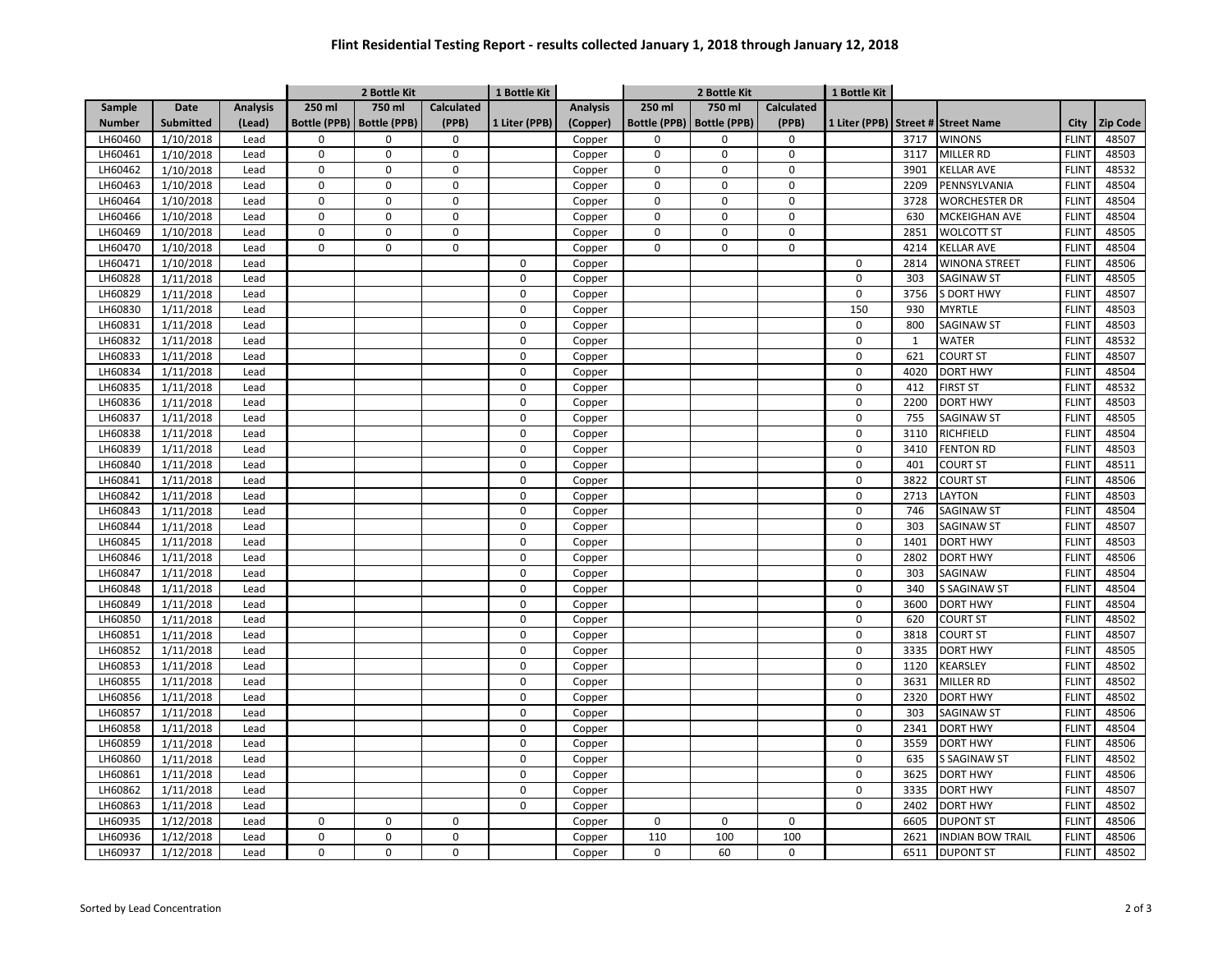## **Flint Residential Testing Report - results collected January 1, 2018 through January 12, 2018**

|               |                  |                 | 2 Bottle Kit        |                     |                   | 1 Bottle Kit  |                 | 2 Bottle Kit |                             |                   | 1 Bottle Kit     |              |                                    |              |                 |
|---------------|------------------|-----------------|---------------------|---------------------|-------------------|---------------|-----------------|--------------|-----------------------------|-------------------|------------------|--------------|------------------------------------|--------------|-----------------|
| Sample        | Date             | <b>Analysis</b> | 250 ml              | 750 ml              | <b>Calculated</b> |               | <b>Analysis</b> | 250 ml       | 750 ml                      | <b>Calculated</b> |                  |              |                                    |              |                 |
| <b>Number</b> | <b>Submitted</b> | (Lead)          | <b>Bottle (PPB)</b> | <b>Bottle (PPB)</b> | (PPB)             | 1 Liter (PPB) | (Copper)        |              | Bottle (PPB)   Bottle (PPB) | (PPB)             |                  |              | 1 Liter (PPB) Street # Street Name | City         | <b>Zip Code</b> |
| LH60460       | 1/10/2018        | Lead            | $\Omega$            | $\Omega$            | $\mathsf 0$       |               | Copper          | $\mathbf 0$  | $\Omega$                    | 0                 |                  | 3717         | <b>WINONS</b>                      | <b>FLINT</b> | 48507           |
| LH60461       | 1/10/2018        | Lead            | $\mathbf 0$         | $\mathbf 0$         | $\mathbf 0$       |               | Copper          | $\pmb{0}$    | 0                           | 0                 |                  | 3117         | <b>MILLER RD</b>                   | <b>FLINT</b> | 48503           |
| LH60462       | 1/10/2018        | Lead            | $\mathbf 0$         | $\mathbf 0$         | $\mathbf 0$       |               | Copper          | $\mathbf 0$  | 0                           | 0                 |                  | 3901         | <b>KELLAR AVE</b>                  | <b>FLINT</b> | 48532           |
| LH60463       | 1/10/2018        | Lead            | $\mathbf 0$         | 0                   | $\mathbf 0$       |               | Copper          | $\pmb{0}$    | $\mathbf 0$                 | $\Omega$          |                  | 2209         | PENNSYLVANIA                       | <b>FLINT</b> | 48504           |
| LH60464       | 1/10/2018        | Lead            | $\mathbf 0$         | 0                   | $\pmb{0}$         |               | Copper          | $\pmb{0}$    | 0                           | $\Omega$          |                  | 3728         | <b>WORCHESTER DR</b>               | <b>FLINT</b> | 48504           |
| LH60466       | 1/10/2018        | Lead            | $\pmb{0}$           | 0                   | $\boldsymbol{0}$  |               | Copper          | $\pmb{0}$    | 0                           | $\Omega$          |                  | 630          | <b>MCKEIGHAN AVE</b>               | <b>FLINT</b> | 48504           |
| LH60469       | 1/10/2018        | Lead            | $\mathbf 0$         | 0                   | $\mathbf 0$       |               | Copper          | $\pmb{0}$    | 0                           | 0                 |                  | 2851         | <b>WOLCOTT ST</b>                  | <b>FLINT</b> | 48505           |
| LH60470       | 1/10/2018        | Lead            | $\mathbf 0$         | $\mathbf 0$         | $\mathbf 0$       |               | Copper          | $\pmb{0}$    | 0                           | 0                 |                  | 4214         | <b>KELLAR AVE</b>                  | <b>FLINT</b> | 48504           |
| LH60471       | 1/10/2018        | Lead            |                     |                     |                   | $\mathbf 0$   | Copper          |              |                             |                   | $\pmb{0}$        | 2814         | <b>WINONA STREET</b>               | <b>FLINT</b> | 48506           |
| LH60828       | 1/11/2018        | Lead            |                     |                     |                   | $\mathbf 0$   | Copper          |              |                             |                   | $\mathbf 0$      | 303          | <b>SAGINAW ST</b>                  | <b>FLINT</b> | 48505           |
| LH60829       | 1/11/2018        | Lead            |                     |                     |                   | $\mathbf 0$   | Copper          |              |                             |                   | $\pmb{0}$        | 3756         | <b>S DORT HWY</b>                  | <b>FLINT</b> | 48507           |
| LH60830       | 1/11/2018        | Lead            |                     |                     |                   | $\mathbf 0$   | Copper          |              |                             |                   | 150              | 930          | <b>MYRTLE</b>                      | <b>FLINT</b> | 48503           |
| LH60831       | 1/11/2018        | Lead            |                     |                     |                   | $\mathbf 0$   | Copper          |              |                             |                   | $\mathbf 0$      | 800          | SAGINAW ST                         | <b>FLINT</b> | 48503           |
| LH60832       | 1/11/2018        | Lead            |                     |                     |                   | $\mathbf 0$   | Copper          |              |                             |                   | $\pmb{0}$        | $\mathbf{1}$ | <b>WATER</b>                       | <b>FLINT</b> | 48532           |
| LH60833       | 1/11/2018        | Lead            |                     |                     |                   | $\mathbf 0$   | Copper          |              |                             |                   | $\mathbf 0$      | 621          | <b>COURT ST</b>                    | <b>FLINT</b> | 48507           |
| LH60834       | 1/11/2018        | Lead            |                     |                     |                   | $\mathbf 0$   | Copper          |              |                             |                   | $\pmb{0}$        | 4020         | <b>DORT HWY</b>                    | <b>FLINT</b> | 48504           |
| LH60835       | 1/11/2018        | Lead            |                     |                     |                   | $\mathbf 0$   | Copper          |              |                             |                   | $\mathbf 0$      | 412          | <b>FIRST ST</b>                    | <b>FLINT</b> | 48532           |
| LH60836       | 1/11/2018        | Lead            |                     |                     |                   | $\mathbf 0$   | Copper          |              |                             |                   | $\pmb{0}$        | 2200         | <b>DORT HWY</b>                    | <b>FLINT</b> | 48503           |
| LH60837       | 1/11/2018        | Lead            |                     |                     |                   | $\mathbf 0$   | Copper          |              |                             |                   | $\pmb{0}$        | 755          | <b>SAGINAW ST</b>                  | <b>FLINT</b> | 48505           |
| LH60838       | 1/11/2018        | Lead            |                     |                     |                   | $\mathbf 0$   | Copper          |              |                             |                   | $\mathbf 0$      | 3110         | <b>RICHFIELD</b>                   | <b>FLINT</b> | 48504           |
| LH60839       | 1/11/2018        | Lead            |                     |                     |                   | $\mathbf 0$   | Copper          |              |                             |                   | $\pmb{0}$        | 3410         | <b>FENTON RD</b>                   | <b>FLINT</b> | 48503           |
| LH60840       | 1/11/2018        | Lead            |                     |                     |                   | $\mathbf 0$   | Copper          |              |                             |                   | $\pmb{0}$        | 401          | <b>COURT ST</b>                    | <b>FLINT</b> | 48511           |
| LH60841       | 1/11/2018        | Lead            |                     |                     |                   | $\mathbf 0$   | Copper          |              |                             |                   | $\pmb{0}$        | 3822         | <b>COURT ST</b>                    | <b>FLINT</b> | 48506           |
| LH60842       | 1/11/2018        | Lead            |                     |                     |                   | $\mathbf 0$   | Copper          |              |                             |                   | $\pmb{0}$        | 2713         | <b>LAYTON</b>                      | <b>FLINT</b> | 48503           |
| LH60843       | 1/11/2018        | Lead            |                     |                     |                   | $\mathbf 0$   | Copper          |              |                             |                   | $\pmb{0}$        | 746          | <b>SAGINAW ST</b>                  | <b>FLINT</b> | 48504           |
| LH60844       | 1/11/2018        | Lead            |                     |                     |                   | $\mathbf 0$   | Copper          |              |                             |                   | $\pmb{0}$        | 303          | <b>SAGINAW ST</b>                  | <b>FLINT</b> | 48507           |
| LH60845       | 1/11/2018        | Lead            |                     |                     |                   | $\mathbf 0$   | Copper          |              |                             |                   | $\pmb{0}$        | 1401         | <b>DORT HWY</b>                    | <b>FLINT</b> | 48503           |
| LH60846       | 1/11/2018        | Lead            |                     |                     |                   | $\mathbf 0$   | Copper          |              |                             |                   | $\boldsymbol{0}$ | 2802         | <b>DORT HWY</b>                    | <b>FLINT</b> | 48506           |
| LH60847       | 1/11/2018        | Lead            |                     |                     |                   | $\mathbf 0$   | Copper          |              |                             |                   | $\pmb{0}$        | 303          | <b>SAGINAW</b>                     | <b>FLINT</b> | 48504           |
| LH60848       | 1/11/2018        | Lead            |                     |                     |                   | $\mathbf 0$   | Copper          |              |                             |                   | $\mathbf 0$      | 340          | <b>S SAGINAW ST</b>                | <b>FLINT</b> | 48504           |
| LH60849       | 1/11/2018        | Lead            |                     |                     |                   | $\mathbf 0$   | Copper          |              |                             |                   | $\pmb{0}$        | 3600         | <b>DORT HWY</b>                    | <b>FLINT</b> | 48504           |
| LH60850       | 1/11/2018        | Lead            |                     |                     |                   | $\mathbf 0$   | Copper          |              |                             |                   | $\pmb{0}$        | 620          | <b>COURT ST</b>                    | <b>FLINT</b> | 48502           |
| LH60851       | 1/11/2018        | Lead            |                     |                     |                   | $\mathsf 0$   | Copper          |              |                             |                   | $\pmb{0}$        | 3818         | <b>COURT ST</b>                    | <b>FLINT</b> | 48507           |
| LH60852       | 1/11/2018        | Lead            |                     |                     |                   | $\mathbf 0$   | Copper          |              |                             |                   | $\pmb{0}$        | 3335         | <b>DORT HWY</b>                    | <b>FLINT</b> | 48505           |
| LH60853       | 1/11/2018        | Lead            |                     |                     |                   | $\mathbf 0$   | Copper          |              |                             |                   | $\pmb{0}$        | 1120         | <b>KEARSLEY</b>                    | <b>FLINT</b> | 48502           |
| LH60855       | 1/11/2018        | Lead            |                     |                     |                   | $\mathbf 0$   | Copper          |              |                             |                   | $\pmb{0}$        | 3631         | <b>MILLER RD</b>                   | <b>FLINT</b> | 48502           |
| LH60856       | 1/11/2018        | Lead            |                     |                     |                   | $\Omega$      | Copper          |              |                             |                   | $\mathbf 0$      | 2320         | <b>DORT HWY</b>                    | <b>FLINT</b> | 48502           |
| LH60857       | 1/11/2018        | Lead            |                     |                     |                   | $\mathbf 0$   | Copper          |              |                             |                   | $\mathbf 0$      | 303          | <b>SAGINAW ST</b>                  | <b>FLINT</b> | 48506           |
| LH60858       | 1/11/2018        | Lead            |                     |                     |                   | $\mathbf 0$   | Copper          |              |                             |                   | $\mathbf 0$      | 2341         | <b>DORT HWY</b>                    | <b>FLINT</b> | 48504           |
| LH60859       | 1/11/2018        | Lead            |                     |                     |                   | $\Omega$      | Copper          |              |                             |                   | $\mathbf 0$      | 3559         | <b>DORT HWY</b>                    | <b>FLINT</b> | 48506           |
| LH60860       | 1/11/2018        | Lead            |                     |                     |                   | $\Omega$      | Copper          |              |                             |                   | $\Omega$         | 635          | <b>S SAGINAW ST</b>                | <b>FLINT</b> | 48502           |
| LH60861       | 1/11/2018        | Lead            |                     |                     |                   | $\mathbf 0$   | Copper          |              |                             |                   | $\mathbf 0$      | 3625         | <b>DORT HWY</b>                    | <b>FLINT</b> | 48506           |
| LH60862       | 1/11/2018        | Lead            |                     |                     |                   | $\Omega$      | Copper          |              |                             |                   | $\Omega$         | 3335         | <b>DORT HWY</b>                    | <b>FLINT</b> | 48507           |
| LH60863       | 1/11/2018        | Lead            |                     |                     |                   | $\mathbf 0$   | Copper          |              |                             |                   | $\mathbf 0$      | 2402         | <b>DORT HWY</b>                    | <b>FLINT</b> | 48502           |
| LH60935       | 1/12/2018        | Lead            | $\mathbf 0$         | 0                   | $\mathbf 0$       |               | Copper          | $\pmb{0}$    | 0                           | $\Omega$          |                  | 6605         | <b>DUPONT ST</b>                   | <b>FLINT</b> | 48506           |
| LH60936       | 1/12/2018        | Lead            | $\mathbf 0$         | $\Omega$            | $\mathsf 0$       |               | Copper          | 110          | 100                         | 100               |                  | 2621         | <b>INDIAN BOW TRAIL</b>            | <b>FLINT</b> | 48506           |
| LH60937       | 1/12/2018        | Lead            | $\mathbf 0$         | $\Omega$            | $\mathbf 0$       |               | Copper          | $\mathbf 0$  | 60                          | $\Omega$          |                  | 6511         | <b>DUPONT ST</b>                   | <b>FLINT</b> | 48502           |